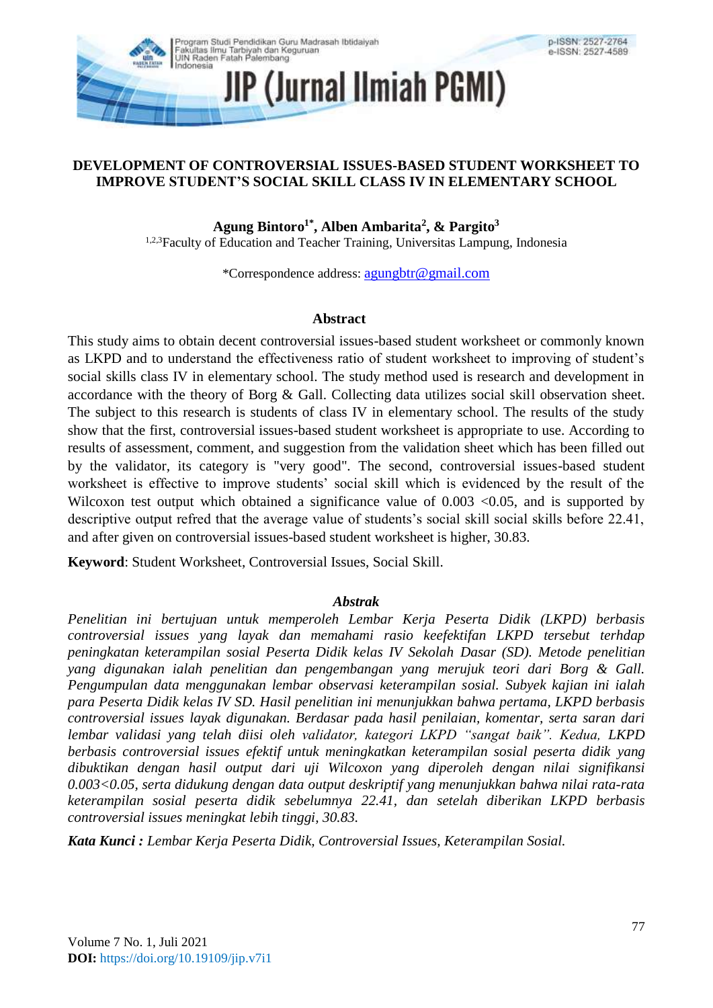

# **DEVELOPMENT OF CONTROVERSIAL ISSUES-BASED STUDENT WORKSHEET TO IMPROVE STUDENT'S SOCIAL SKILL CLASS IV IN ELEMENTARY SCHOOL**

**Agung Bintoro1\* , Alben Ambarita<sup>2</sup> , & Pargito<sup>3</sup>**

<sup>1,2,3</sup>Faculty of Education and Teacher Training, Universitas Lampung, Indonesia

\*Correspondence address: [agungbtr@gmail.com](mailto:agungbtr@gmail.com)

## **Abstract**

This study aims to obtain decent controversial issues-based student worksheet or commonly known as LKPD and to understand the effectiveness ratio of student worksheet to improving of student's social skills class IV in elementary school. The study method used is research and development in accordance with the theory of Borg & Gall. Collecting data utilizes social skill observation sheet. The subject to this research is students of class IV in elementary school. The results of the study show that the first, controversial issues-based student worksheet is appropriate to use. According to results of assessment, comment, and suggestion from the validation sheet which has been filled out by the validator, its category is "very good". The second, controversial issues-based student worksheet is effective to improve students' social skill which is evidenced by the result of the Wilcoxon test output which obtained a significance value of  $0.003$  <0.05, and is supported by descriptive output refred that the average value of students's social skill social skills before 22.41, and after given on controversial issues-based student worksheet is higher, 30.83.

**Keyword**: Student Worksheet, Controversial Issues, Social Skill.

## *Abstrak*

*Penelitian ini bertujuan untuk memperoleh Lembar Kerja Peserta Didik (LKPD) berbasis controversial issues yang layak dan memahami rasio keefektifan LKPD tersebut terhdap peningkatan keterampilan sosial Peserta Didik kelas IV Sekolah Dasar (SD). Metode penelitian yang digunakan ialah penelitian dan pengembangan yang merujuk teori dari Borg & Gall. Pengumpulan data menggunakan lembar observasi keterampilan sosial. Subyek kajian ini ialah para Peserta Didik kelas IV SD. Hasil penelitian ini menunjukkan bahwa pertama, LKPD berbasis controversial issues layak digunakan. Berdasar pada hasil penilaian, komentar, serta saran dari lembar validasi yang telah diisi oleh validator, kategori LKPD "sangat baik". Kedua, LKPD berbasis controversial issues efektif untuk meningkatkan keterampilan sosial peserta didik yang dibuktikan dengan hasil output dari uji Wilcoxon yang diperoleh dengan nilai signifikansi 0.003<0.05, serta didukung dengan data output deskriptif yang menunjukkan bahwa nilai rata-rata keterampilan sosial peserta didik sebelumnya 22.41, dan setelah diberikan LKPD berbasis controversial issues meningkat lebih tinggi, 30.83.*

*Kata Kunci : Lembar Kerja Peserta Didik, Controversial Issues, Keterampilan Sosial.*

n-ISSN: 2527-2764 e-ISSN: 2527-4589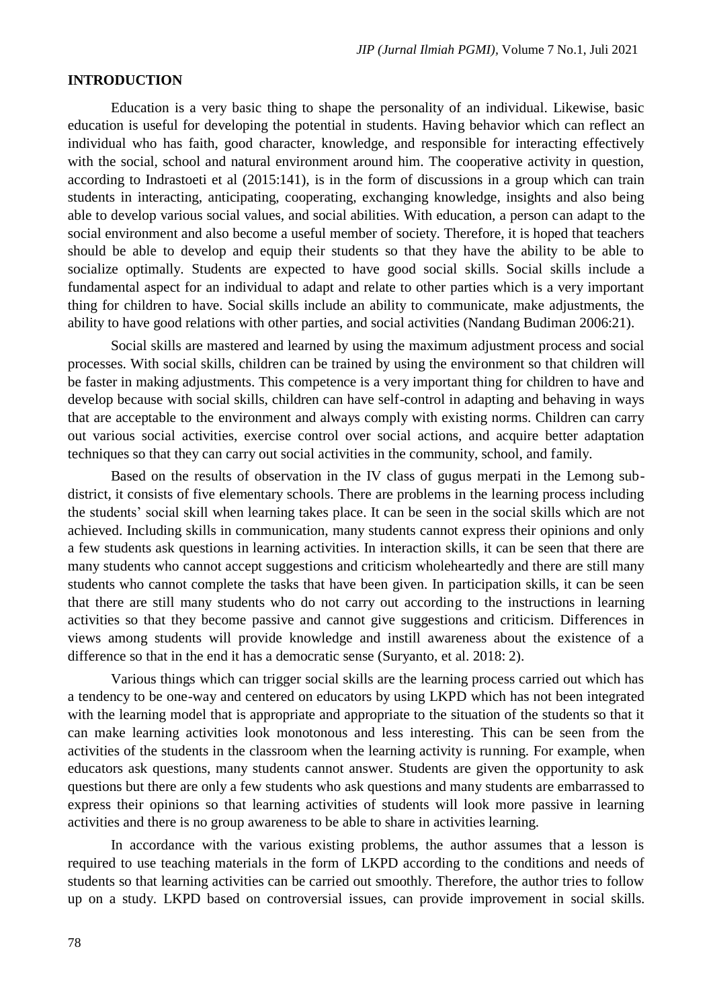#### **INTRODUCTION**

Education is a very basic thing to shape the personality of an individual. Likewise, basic education is useful for developing the potential in students. Having behavior which can reflect an individual who has faith, good character, knowledge, and responsible for interacting effectively with the social, school and natural environment around him. The cooperative activity in question, according to Indrastoeti et al (2015:141), is in the form of discussions in a group which can train students in interacting, anticipating, cooperating, exchanging knowledge, insights and also being able to develop various social values, and social abilities. With education, a person can adapt to the social environment and also become a useful member of society. Therefore, it is hoped that teachers should be able to develop and equip their students so that they have the ability to be able to socialize optimally. Students are expected to have good social skills. Social skills include a fundamental aspect for an individual to adapt and relate to other parties which is a very important thing for children to have. Social skills include an ability to communicate, make adjustments, the ability to have good relations with other parties, and social activities (Nandang Budiman 2006:21).

Social skills are mastered and learned by using the maximum adjustment process and social processes. With social skills, children can be trained by using the environment so that children will be faster in making adjustments. This competence is a very important thing for children to have and develop because with social skills, children can have self-control in adapting and behaving in ways that are acceptable to the environment and always comply with existing norms. Children can carry out various social activities, exercise control over social actions, and acquire better adaptation techniques so that they can carry out social activities in the community, school, and family.

Based on the results of observation in the IV class of gugus merpati in the Lemong subdistrict, it consists of five elementary schools. There are problems in the learning process including the students' social skill when learning takes place. It can be seen in the social skills which are not achieved. Including skills in communication, many students cannot express their opinions and only a few students ask questions in learning activities. In interaction skills, it can be seen that there are many students who cannot accept suggestions and criticism wholeheartedly and there are still many students who cannot complete the tasks that have been given. In participation skills, it can be seen that there are still many students who do not carry out according to the instructions in learning activities so that they become passive and cannot give suggestions and criticism. Differences in views among students will provide knowledge and instill awareness about the existence of a difference so that in the end it has a democratic sense (Suryanto, et al. 2018: 2).

Various things which can trigger social skills are the learning process carried out which has a tendency to be one-way and centered on educators by using LKPD which has not been integrated with the learning model that is appropriate and appropriate to the situation of the students so that it can make learning activities look monotonous and less interesting. This can be seen from the activities of the students in the classroom when the learning activity is running. For example, when educators ask questions, many students cannot answer. Students are given the opportunity to ask questions but there are only a few students who ask questions and many students are embarrassed to express their opinions so that learning activities of students will look more passive in learning activities and there is no group awareness to be able to share in activities learning.

In accordance with the various existing problems, the author assumes that a lesson is required to use teaching materials in the form of LKPD according to the conditions and needs of students so that learning activities can be carried out smoothly. Therefore, the author tries to follow up on a study. LKPD based on controversial issues, can provide improvement in social skills.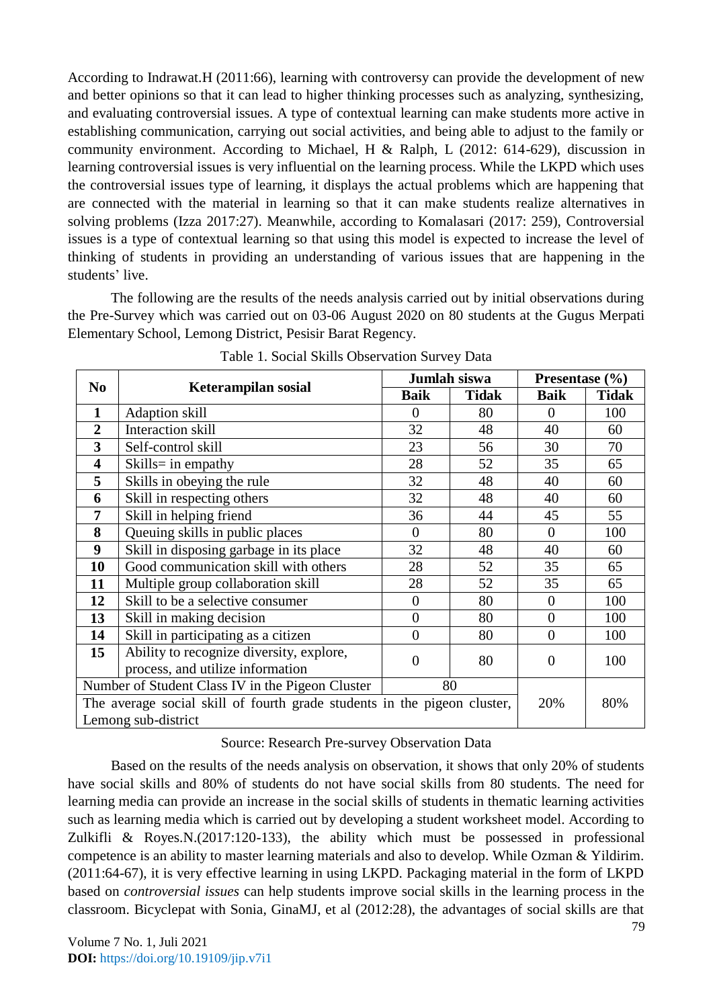According to Indrawat.H (2011:66), learning with controversy can provide the development of new and better opinions so that it can lead to higher thinking processes such as analyzing, synthesizing, and evaluating controversial issues. A type of contextual learning can make students more active in establishing communication, carrying out social activities, and being able to adjust to the family or community environment. According to Michael, H & Ralph, L (2012: 614-629), discussion in learning controversial issues is very influential on the learning process. While the LKPD which uses the controversial issues type of learning, it displays the actual problems which are happening that are connected with the material in learning so that it can make students realize alternatives in solving problems (Izza 2017:27). Meanwhile, according to Komalasari (2017: 259), Controversial issues is a type of contextual learning so that using this model is expected to increase the level of thinking of students in providing an understanding of various issues that are happening in the students' live.

The following are the results of the needs analysis carried out by initial observations during the Pre-Survey which was carried out on 03-06 August 2020 on 80 students at the Gugus Merpati Elementary School, Lemong District, Pesisir Barat Regency.

|                                                                          |                                          |                | Jumlah siswa | Presentase $(\% )$ |              |  |
|--------------------------------------------------------------------------|------------------------------------------|----------------|--------------|--------------------|--------------|--|
| N <sub>0</sub>                                                           | Keterampilan sosial                      | <b>Baik</b>    | <b>Tidak</b> | <b>Baik</b>        | <b>Tidak</b> |  |
| $\mathbf{1}$                                                             | Adaption skill                           | $\theta$       | 80           | $\theta$           | 100          |  |
| $\overline{2}$                                                           | Interaction skill                        | 32             | 48           | 40                 | 60           |  |
| 3                                                                        | Self-control skill                       | 23             | 56           | 30                 | 70           |  |
| $\overline{\mathbf{4}}$                                                  | Skills= in empathy                       | 28             | 52           | 35                 | 65           |  |
| 5                                                                        | Skills in obeying the rule               | 32             | 48           | 40                 | 60           |  |
| 6                                                                        | Skill in respecting others               | 32             | 48           | 40                 | 60           |  |
| 7                                                                        | Skill in helping friend                  | 36             | 44           | 45                 | 55           |  |
| 8                                                                        | Queuing skills in public places          | $\overline{0}$ | 80           | $\overline{0}$     | 100          |  |
| 9                                                                        | Skill in disposing garbage in its place  | 32             | 48           | 40                 | 60           |  |
| 10                                                                       | Good communication skill with others     | 28             | 52           | 35                 | 65           |  |
| 11                                                                       | Multiple group collaboration skill       | 28             | 52           | 35                 | 65           |  |
| 12                                                                       | Skill to be a selective consumer         | $\overline{0}$ | 80           | $\overline{0}$     | 100          |  |
| 13                                                                       | Skill in making decision                 | $\overline{0}$ | 80           | $\overline{0}$     | 100          |  |
| 14                                                                       | Skill in participating as a citizen      | $\overline{0}$ | 80           | $\overline{0}$     | 100          |  |
| 15                                                                       | Ability to recognize diversity, explore, | $\theta$       | 80           | $\theta$           | 100          |  |
|                                                                          | process, and utilize information         |                |              |                    |              |  |
| Number of Student Class IV in the Pigeon Cluster<br>80                   |                                          |                |              |                    |              |  |
| The average social skill of fourth grade students in the pigeon cluster, |                                          |                |              | 20%                | 80%          |  |
|                                                                          | Lemong sub-district                      |                |              |                    |              |  |

Table 1. Social Skills Observation Survey Data

# Source: Research Pre-survey Observation Data

Based on the results of the needs analysis on observation, it shows that only 20% of students have social skills and 80% of students do not have social skills from 80 students. The need for learning media can provide an increase in the social skills of students in thematic learning activities such as learning media which is carried out by developing a student worksheet model. According to Zulkifli & Royes.N.(2017:120-133), the ability which must be possessed in professional competence is an ability to master learning materials and also to develop. While Ozman & Yildirim. (2011:64-67), it is very effective learning in using LKPD. Packaging material in the form of LKPD based on *controversial issues* can help students improve social skills in the learning process in the classroom. Bicyclepat with Sonia, GinaMJ, et al (2012:28), the advantages of social skills are that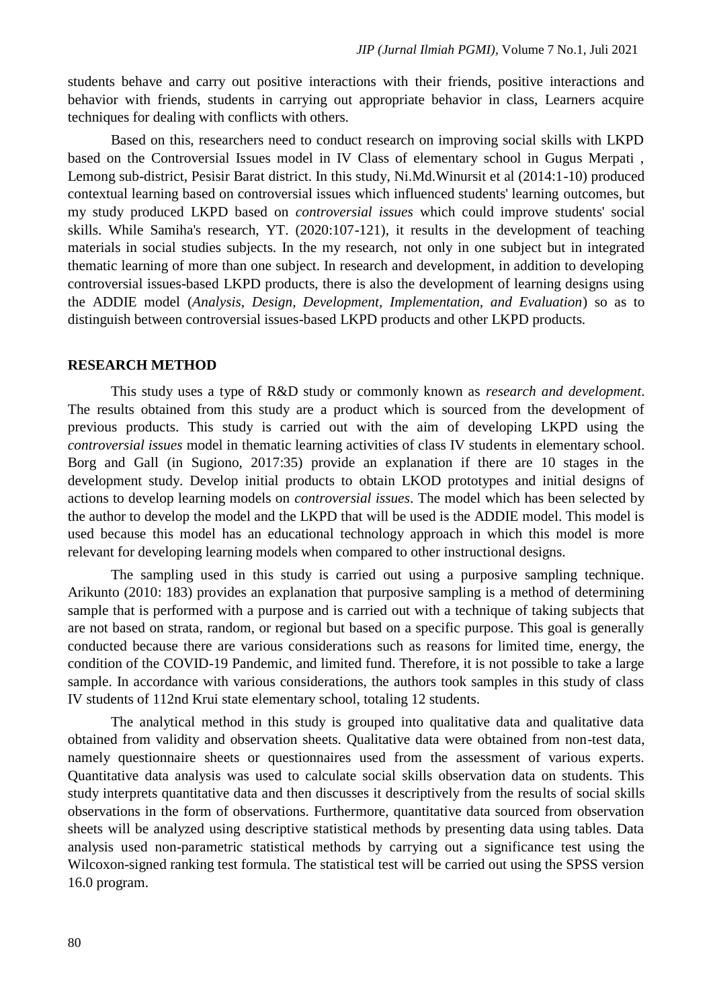students behave and carry out positive interactions with their friends, positive interactions and behavior with friends, students in carrying out appropriate behavior in class, Learners acquire techniques for dealing with conflicts with others.

Based on this, researchers need to conduct research on improving social skills with LKPD based on the Controversial Issues model in IV Class of elementary school in Gugus Merpati , Lemong sub-district, Pesisir Barat district. In this study, Ni.Md.Winursit et al (2014:1-10) produced contextual learning based on controversial issues which influenced students' learning outcomes, but my study produced LKPD based on *controversial issues* which could improve students' social skills. While Samiha's research, YT. (2020:107-121), it results in the development of teaching materials in social studies subjects. In the my research, not only in one subject but in integrated thematic learning of more than one subject. In research and development, in addition to developing controversial issues-based LKPD products, there is also the development of learning designs using the ADDIE model (*Analysis, Design, Development, Implementation, and Evaluation*) so as to distinguish between controversial issues-based LKPD products and other LKPD products.

#### **RESEARCH METHOD**

This study uses a type of R&D study or commonly known as *research and development*. The results obtained from this study are a product which is sourced from the development of previous products. This study is carried out with the aim of developing LKPD using the *controversial issues* model in thematic learning activities of class IV students in elementary school. Borg and Gall (in Sugiono, 2017:35) provide an explanation if there are 10 stages in the development study. Develop initial products to obtain LKOD prototypes and initial designs of actions to develop learning models on *controversial issues*. The model which has been selected by the author to develop the model and the LKPD that will be used is the ADDIE model. This model is used because this model has an educational technology approach in which this model is more relevant for developing learning models when compared to other instructional designs.

The sampling used in this study is carried out using a purposive sampling technique. Arikunto (2010: 183) provides an explanation that purposive sampling is a method of determining sample that is performed with a purpose and is carried out with a technique of taking subjects that are not based on strata, random, or regional but based on a specific purpose. This goal is generally conducted because there are various considerations such as reasons for limited time, energy, the condition of the COVID-19 Pandemic, and limited fund. Therefore, it is not possible to take a large sample. In accordance with various considerations, the authors took samples in this study of class IV students of 112nd Krui state elementary school, totaling 12 students.

The analytical method in this study is grouped into qualitative data and qualitative data obtained from validity and observation sheets. Qualitative data were obtained from non-test data, namely questionnaire sheets or questionnaires used from the assessment of various experts. Quantitative data analysis was used to calculate social skills observation data on students. This study interprets quantitative data and then discusses it descriptively from the results of social skills observations in the form of observations. Furthermore, quantitative data sourced from observation sheets will be analyzed using descriptive statistical methods by presenting data using tables. Data analysis used non-parametric statistical methods by carrying out a significance test using the Wilcoxon-signed ranking test formula. The statistical test will be carried out using the SPSS version 16.0 program.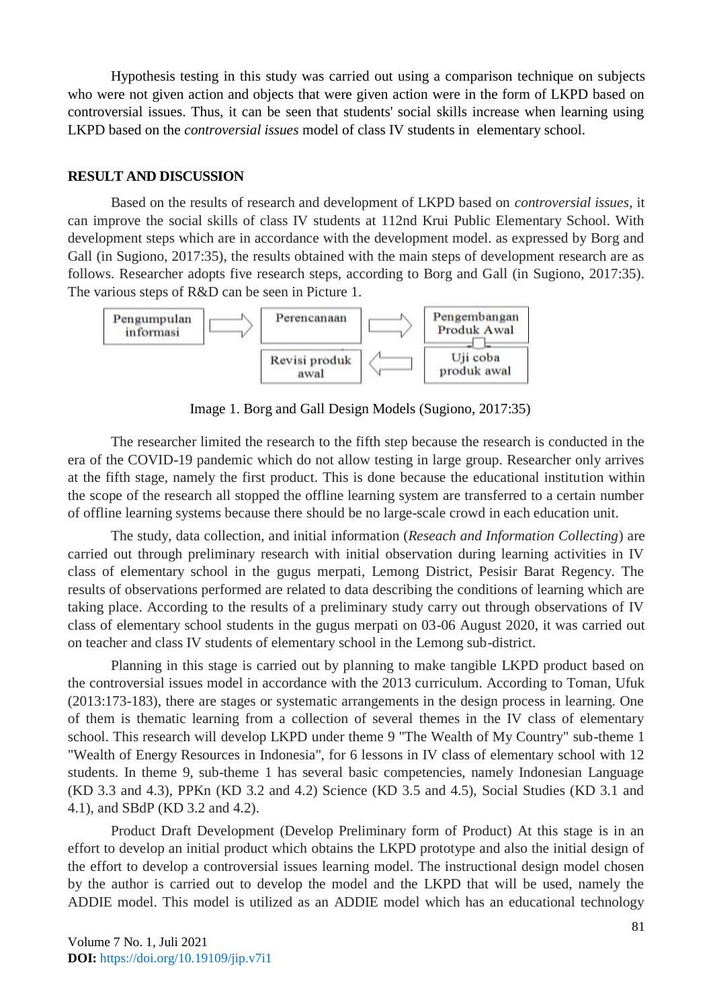Hypothesis testing in this study was carried out using a comparison technique on subjects who were not given action and objects that were given action were in the form of LKPD based on controversial issues. Thus, it can be seen that students' social skills increase when learning using LKPD based on the *controversial issues* model of class IV students in elementary school.

#### **RESULT AND DISCUSSION**

Based on the results of research and development of LKPD based on *controversial issues*, it can improve the social skills of class IV students at 112nd Krui Public Elementary School. With development steps which are in accordance with the development model. as expressed by Borg and Gall (in Sugiono, 2017:35), the results obtained with the main steps of development research are as follows. Researcher adopts five research steps, according to Borg and Gall (in Sugiono, 2017:35). The various steps of R&D can be seen in Picture 1.



Image 1. Borg and Gall Design Models (Sugiono, 2017:35)

The researcher limited the research to the fifth step because the research is conducted in the era of the COVID-19 pandemic which do not allow testing in large group. Researcher only arrives at the fifth stage, namely the first product. This is done because the educational institution within the scope of the research all stopped the offline learning system are transferred to a certain number of offline learning systems because there should be no large-scale crowd in each education unit.

The study, data collection, and initial information (*Reseach and Information Collecting*) are carried out through preliminary research with initial observation during learning activities in IV class of elementary school in the gugus merpati, Lemong District, Pesisir Barat Regency. The results of observations performed are related to data describing the conditions of learning which are taking place. According to the results of a preliminary study carry out through observations of IV class of elementary school students in the gugus merpati on 03-06 August 2020, it was carried out on teacher and class IV students of elementary school in the Lemong sub-district.

Planning in this stage is carried out by planning to make tangible LKPD product based on the controversial issues model in accordance with the 2013 curriculum. According to Toman, Ufuk (2013:173-183), there are stages or systematic arrangements in the design process in learning. One of them is thematic learning from a collection of several themes in the IV class of elementary school. This research will develop LKPD under theme 9 "The Wealth of My Country" sub-theme 1 "Wealth of Energy Resources in Indonesia", for 6 lessons in IV class of elementary school with 12 students. In theme 9, sub-theme 1 has several basic competencies, namely Indonesian Language (KD 3.3 and 4.3), PPKn (KD 3.2 and 4.2) Science (KD 3.5 and 4.5), Social Studies (KD 3.1 and 4.1), and SBdP (KD 3.2 and 4.2).

Product Draft Development (Develop Preliminary form of Product) At this stage is in an effort to develop an initial product which obtains the LKPD prototype and also the initial design of the effort to develop a controversial issues learning model. The instructional design model chosen by the author is carried out to develop the model and the LKPD that will be used, namely the ADDIE model. This model is utilized as an ADDIE model which has an educational technology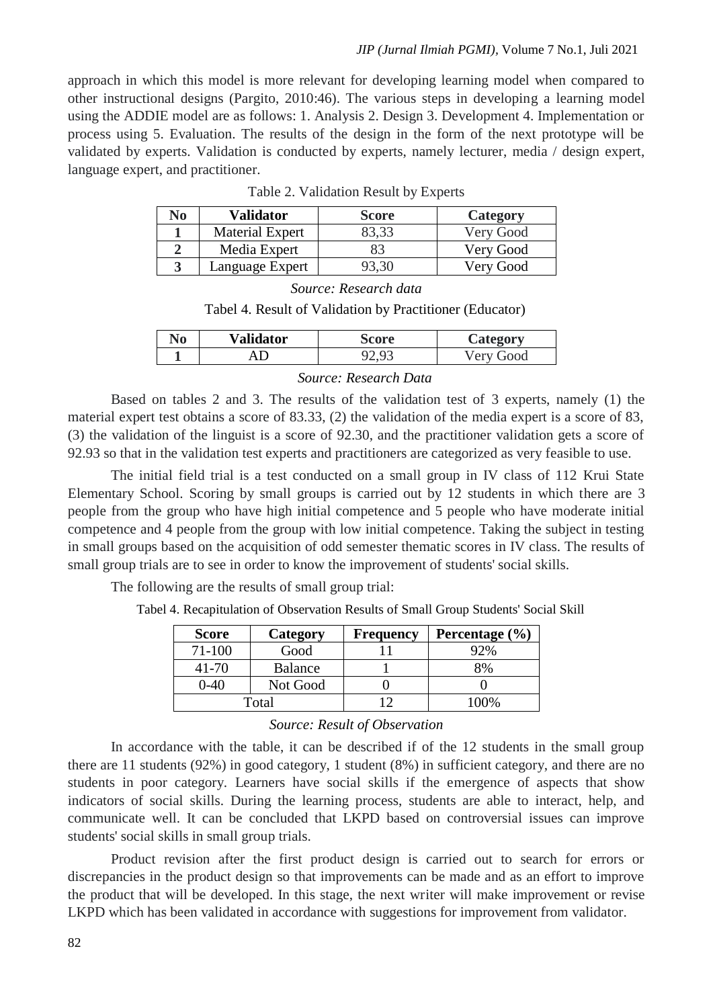approach in which this model is more relevant for developing learning model when compared to other instructional designs (Pargito, 2010:46). The various steps in developing a learning model using the ADDIE model are as follows: 1. Analysis 2. Design 3. Development 4. Implementation or process using 5. Evaluation. The results of the design in the form of the next prototype will be validated by experts. Validation is conducted by experts, namely lecturer, media / design expert, language expert, and practitioner.

| No | <b>Validator</b>       | <b>Score</b> | Category  |
|----|------------------------|--------------|-----------|
|    | <b>Material Expert</b> | 33,33        | Very Good |
|    | Media Expert           |              | Very Good |
|    | Language Expert        |              | Very Good |

Table 2. Validation Result by Experts

## *Source: Research data*

Tabel 4. Result of Validation by Practitioner (Educator)

| NО | Validator | core | <b>TAGOLA</b>             |
|----|-----------|------|---------------------------|
|    |           |      | $7$ ery<br>$\overline{O}$ |

### *Source: Research Data*

Based on tables 2 and 3. The results of the validation test of 3 experts, namely (1) the material expert test obtains a score of 83.33, (2) the validation of the media expert is a score of 83, (3) the validation of the linguist is a score of 92.30, and the practitioner validation gets a score of 92.93 so that in the validation test experts and practitioners are categorized as very feasible to use.

The initial field trial is a test conducted on a small group in IV class of 112 Krui State Elementary School. Scoring by small groups is carried out by 12 students in which there are 3 people from the group who have high initial competence and 5 people who have moderate initial competence and 4 people from the group with low initial competence. Taking the subject in testing in small groups based on the acquisition of odd semester thematic scores in IV class. The results of small group trials are to see in order to know the improvement of students' social skills.

The following are the results of small group trial:

Tabel 4. Recapitulation of Observation Results of Small Group Students' Social Skill

| <b>Score</b> | Category       | <b>Frequency</b> | Percentage $(\% )$ |
|--------------|----------------|------------------|--------------------|
| 71-100       | Good           |                  | 92%                |
| 41-70        | <b>Balance</b> |                  | 8%                 |
| $0-40$       | Not Good       |                  |                    |
|              | Total          |                  | 100%               |

### *Source: Result of Observation*

In accordance with the table, it can be described if of the 12 students in the small group there are 11 students (92%) in good category, 1 student (8%) in sufficient category, and there are no students in poor category. Learners have social skills if the emergence of aspects that show indicators of social skills. During the learning process, students are able to interact, help, and communicate well. It can be concluded that LKPD based on controversial issues can improve students' social skills in small group trials.

Product revision after the first product design is carried out to search for errors or discrepancies in the product design so that improvements can be made and as an effort to improve the product that will be developed. In this stage, the next writer will make improvement or revise LKPD which has been validated in accordance with suggestions for improvement from validator.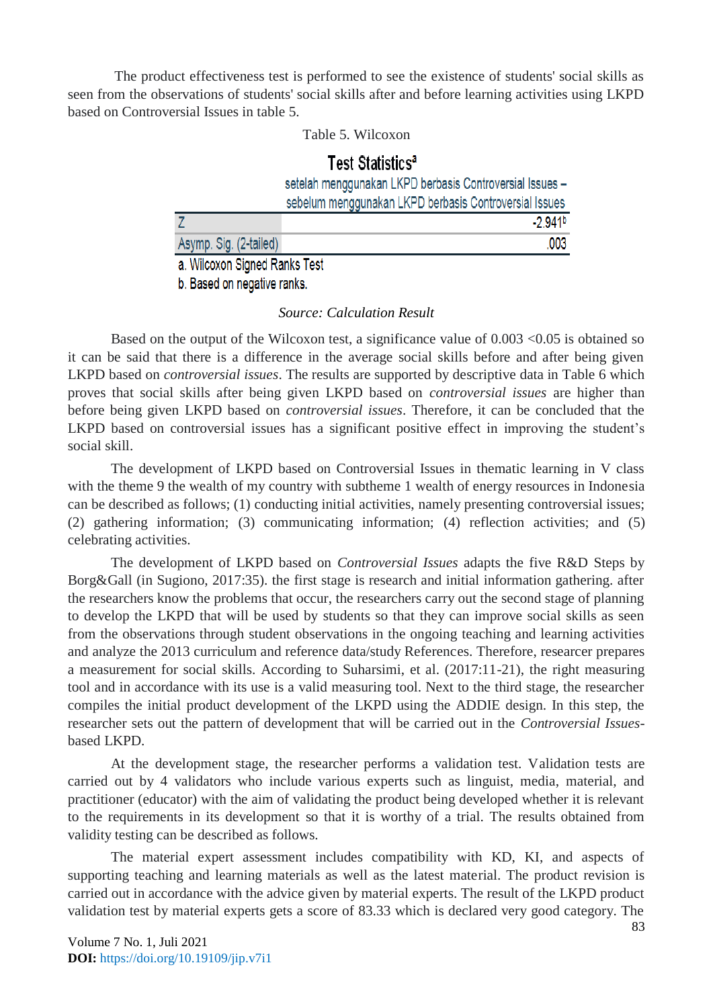The product effectiveness test is performed to see the existence of students' social skills as seen from the observations of students' social skills after and before learning activities using LKPD based on Controversial Issues in table 5.

### Table 5. Wilcoxon

## **Test Statistics<sup>a</sup>** setelah menggunakan LKPD berbasis Controversial Issues sebelum menggunakan LKPD berbasis Controversial Issues  $\overline{7}$  $-2.941<sup>b</sup>$ Asymp. Sig. (2-tailed) 003

a. Wilcoxon Signed Ranks Test

b. Based on negative ranks.

### *Source: Calculation Result*

Based on the output of the Wilcoxon test, a significance value of  $0.003 < 0.05$  is obtained so it can be said that there is a difference in the average social skills before and after being given LKPD based on *controversial issues*. The results are supported by descriptive data in Table 6 which proves that social skills after being given LKPD based on *controversial issues* are higher than before being given LKPD based on *controversial issues*. Therefore, it can be concluded that the LKPD based on controversial issues has a significant positive effect in improving the student's social skill.

The development of LKPD based on Controversial Issues in thematic learning in V class with the theme 9 the wealth of my country with subtheme 1 wealth of energy resources in Indonesia can be described as follows; (1) conducting initial activities, namely presenting controversial issues; (2) gathering information; (3) communicating information; (4) reflection activities; and (5) celebrating activities.

The development of LKPD based on *Controversial Issues* adapts the five R&D Steps by Borg&Gall (in Sugiono, 2017:35). the first stage is research and initial information gathering. after the researchers know the problems that occur, the researchers carry out the second stage of planning to develop the LKPD that will be used by students so that they can improve social skills as seen from the observations through student observations in the ongoing teaching and learning activities and analyze the 2013 curriculum and reference data/study References. Therefore, researcer prepares a measurement for social skills. According to Suharsimi, et al. (2017:11-21), the right measuring tool and in accordance with its use is a valid measuring tool. Next to the third stage, the researcher compiles the initial product development of the LKPD using the ADDIE design. In this step, the researcher sets out the pattern of development that will be carried out in the *Controversial Issues*based LKPD.

At the development stage, the researcher performs a validation test. Validation tests are carried out by 4 validators who include various experts such as linguist, media, material, and practitioner (educator) with the aim of validating the product being developed whether it is relevant to the requirements in its development so that it is worthy of a trial. The results obtained from validity testing can be described as follows.

The material expert assessment includes compatibility with KD, KI, and aspects of supporting teaching and learning materials as well as the latest material. The product revision is carried out in accordance with the advice given by material experts. The result of the LKPD product validation test by material experts gets a score of 83.33 which is declared very good category. The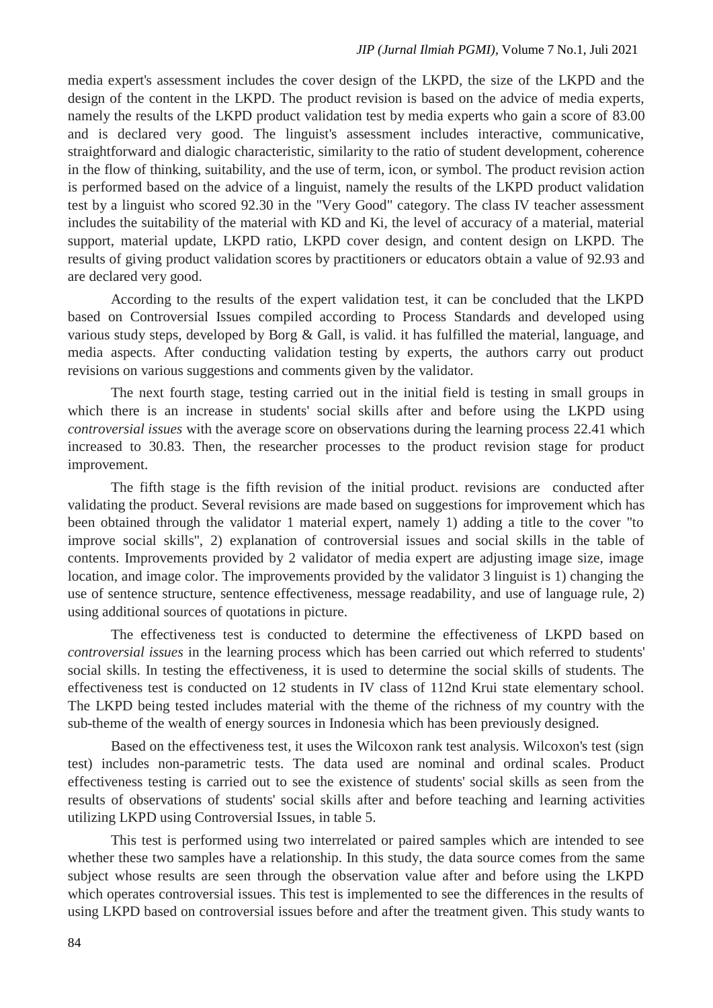#### *JIP (Jurnal Ilmiah PGMI),* Volume 7 No.1, Juli 2021

media expert's assessment includes the cover design of the LKPD, the size of the LKPD and the design of the content in the LKPD. The product revision is based on the advice of media experts, namely the results of the LKPD product validation test by media experts who gain a score of 83.00 and is declared very good. The linguist's assessment includes interactive, communicative, straightforward and dialogic characteristic, similarity to the ratio of student development, coherence in the flow of thinking, suitability, and the use of term, icon, or symbol. The product revision action is performed based on the advice of a linguist, namely the results of the LKPD product validation test by a linguist who scored 92.30 in the "Very Good" category. The class IV teacher assessment includes the suitability of the material with KD and Ki, the level of accuracy of a material, material support, material update, LKPD ratio, LKPD cover design, and content design on LKPD. The results of giving product validation scores by practitioners or educators obtain a value of 92.93 and are declared very good.

According to the results of the expert validation test, it can be concluded that the LKPD based on Controversial Issues compiled according to Process Standards and developed using various study steps, developed by Borg & Gall, is valid. it has fulfilled the material, language, and media aspects. After conducting validation testing by experts, the authors carry out product revisions on various suggestions and comments given by the validator.

The next fourth stage, testing carried out in the initial field is testing in small groups in which there is an increase in students' social skills after and before using the LKPD using *controversial issues* with the average score on observations during the learning process 22.41 which increased to 30.83. Then, the researcher processes to the product revision stage for product improvement.

The fifth stage is the fifth revision of the initial product. revisions are conducted after validating the product. Several revisions are made based on suggestions for improvement which has been obtained through the validator 1 material expert, namely 1) adding a title to the cover "to improve social skills", 2) explanation of controversial issues and social skills in the table of contents. Improvements provided by 2 validator of media expert are adjusting image size, image location, and image color. The improvements provided by the validator 3 linguist is 1) changing the use of sentence structure, sentence effectiveness, message readability, and use of language rule, 2) using additional sources of quotations in picture.

The effectiveness test is conducted to determine the effectiveness of LKPD based on *controversial issues* in the learning process which has been carried out which referred to students' social skills. In testing the effectiveness, it is used to determine the social skills of students. The effectiveness test is conducted on 12 students in IV class of 112nd Krui state elementary school. The LKPD being tested includes material with the theme of the richness of my country with the sub-theme of the wealth of energy sources in Indonesia which has been previously designed.

Based on the effectiveness test, it uses the Wilcoxon rank test analysis. Wilcoxon's test (sign test) includes non-parametric tests. The data used are nominal and ordinal scales. Product effectiveness testing is carried out to see the existence of students' social skills as seen from the results of observations of students' social skills after and before teaching and learning activities utilizing LKPD using Controversial Issues, in table 5.

This test is performed using two interrelated or paired samples which are intended to see whether these two samples have a relationship. In this study, the data source comes from the same subject whose results are seen through the observation value after and before using the LKPD which operates controversial issues. This test is implemented to see the differences in the results of using LKPD based on controversial issues before and after the treatment given. This study wants to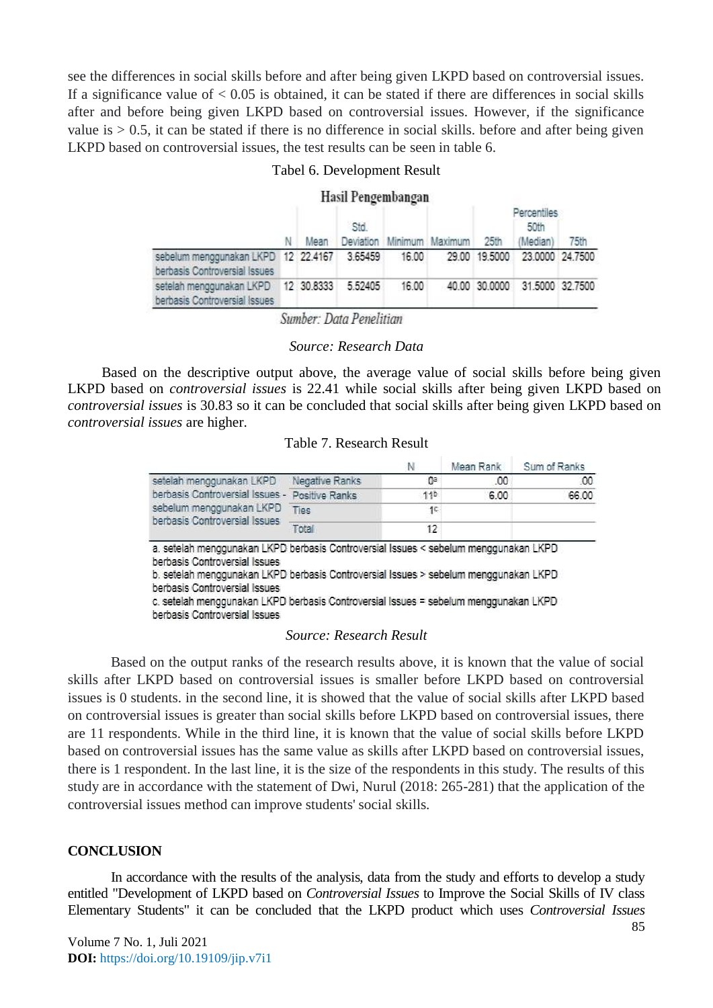see the differences in social skills before and after being given LKPD based on controversial issues. If a significance value of  $< 0.05$  is obtained, it can be stated if there are differences in social skills after and before being given LKPD based on controversial issues. However, if the significance value is  $> 0.5$ , it can be stated if there is no difference in social skills. before and after being given LKPD based on controversial issues, the test results can be seen in table 6.

### Tabel 6. Development Result

| Hasil Pengembangan |  |
|--------------------|--|
|--------------------|--|

|                                                                              |   |      | Std |       |                                     | Percentiles<br>50th |                               |      |
|------------------------------------------------------------------------------|---|------|-----|-------|-------------------------------------|---------------------|-------------------------------|------|
|                                                                              | N | Mean |     |       | Deviation Minimum Maximum           | 25th                | (Median)                      | 75th |
| sebelum menggunakan LKPD 12 22.4167 3.65459<br>berbasis Controversial Issues |   |      |     |       | 16.00 29.00 19.5000 23.0000 24.7500 |                     |                               |      |
| setelah menggunakan LKPD 12 30.8333 5.52405<br>berbasis Controversial Issues |   |      |     | 16.00 |                                     |                     | 40.00 30.0000 31.5000 32.7500 |      |
|                                                                              |   |      |     |       |                                     |                     |                               |      |

Sumber: Data Penelitian

### *Source: Research Data*

Based on the descriptive output above, the average value of social skills before being given LKPD based on *controversial issues* is 22.41 while social skills after being given LKPD based on *controversial issues* is 30.83 so it can be concluded that social skills after being given LKPD based on *controversial issues* are higher.

#### Table 7. Research Result

|                                                                                     |             | N               | Mean Rank | Sum of Ranks |
|-------------------------------------------------------------------------------------|-------------|-----------------|-----------|--------------|
| setelah menggunakan LKPD Negative Ranks                                             |             | 0ª              | .00       | .00          |
| berbasis Controversial Issues - Positive Ranks                                      |             | 11 <sup>b</sup> | 6.00      | 66.00        |
| sebelum menggunakan LKPD                                                            | <b>Ties</b> | 1c.             |           |              |
| berbasis Controversial Issues                                                       | Total       | 12              |           |              |
| a setelah menggunakan LKPD berhasis Controversial Issues < sebelum menggunakan LKPD |             |                 |           |              |

1991 berbasis Controversial Issues

b. setelah menggunakan LKPD berbasis Controversial Issues > sebelum menggunakan LKPD berbasis Controversial Issues

c. setelah menggunakan LKPD berbasis Controversial Issues = sebelum menggunakan LKPD berbasis Controversial Issues

### *Source: Research Result*

Based on the output ranks of the research results above, it is known that the value of social skills after LKPD based on controversial issues is smaller before LKPD based on controversial issues is 0 students. in the second line, it is showed that the value of social skills after LKPD based on controversial issues is greater than social skills before LKPD based on controversial issues, there are 11 respondents. While in the third line, it is known that the value of social skills before LKPD based on controversial issues has the same value as skills after LKPD based on controversial issues, there is 1 respondent. In the last line, it is the size of the respondents in this study. The results of this study are in accordance with the statement of Dwi, Nurul (2018: 265-281) that the application of the controversial issues method can improve students' social skills.

### **CONCLUSION**

In accordance with the results of the analysis, data from the study and efforts to develop a study entitled "Development of LKPD based on *Controversial Issues* to Improve the Social Skills of IV class Elementary Students" it can be concluded that the LKPD product which uses *Controversial Issues*